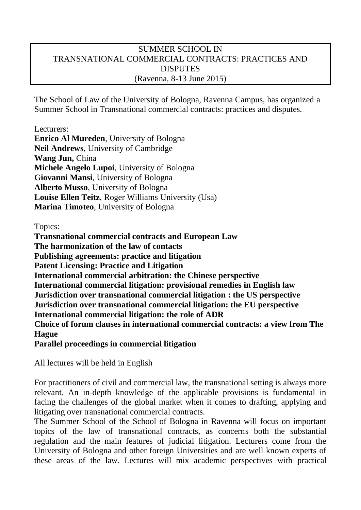## SUMMER SCHOOL IN TRANSNATIONAL COMMERCIAL CONTRACTS: PRACTICES AND DISPUTES (Ravenna, 8-13 June 2015)

The School of Law of the University of Bologna, Ravenna Campus, has organized a Summer School in Transnational commercial contracts: practices and disputes.

Lecturers: **Enrico Al Mureden**, University of Bologna **Neil Andrews**, University of Cambridge **Wang Jun,** China **Michele Angelo Lupoi**, University of Bologna **Giovanni Mansi**, University of Bologna **Alberto Musso**, University of Bologna **Louise Ellen Teitz**, Roger Williams University (Usa) **Marina Timoteo**, University of Bologna

Topics:

**Transnational commercial contracts and European Law The harmonization of the law of contacts Publishing agreements: practice and litigation Patent Licensing: Practice and Litigation International commercial arbitration: the Chinese perspective International commercial litigation: provisional remedies in English law Jurisdiction over transnational commercial litigation : the US perspective Jurisdiction over transnational commercial litigation: the EU perspective International commercial litigation: the role of ADR Choice of forum clauses in international commercial contracts: a view from The Hague Parallel proceedings in commercial litigation**

All lectures will be held in English

For practitioners of civil and commercial law, the transnational setting is always more relevant. An in-depth knowledge of the applicable provisions is fundamental in facing the challenges of the global market when it comes to drafting, applying and litigating over transnational commercial contracts.

The Summer School of the School of Bologna in Ravenna will focus on important topics of the law of transnational contracts, as concerns both the substantial regulation and the main features of judicial litigation. Lecturers come from the University of Bologna and other foreign Universities and are well known experts of these areas of the law. Lectures will mix academic perspectives with practical